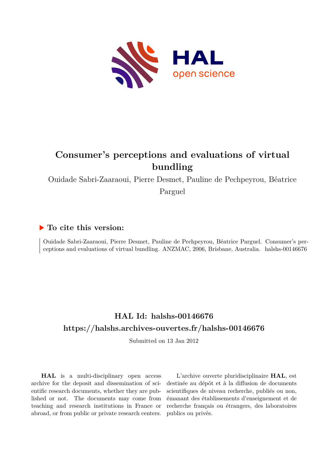

# **Consumer's perceptions and evaluations of virtual bundling**

Ouidade Sabri-Zaaraoui, Pierre Desmet, Pauline de Pechpeyrou, Béatrice

Parguel

### **To cite this version:**

Ouidade Sabri-Zaaraoui, Pierre Desmet, Pauline de Pechpeyrou, Béatrice Parguel. Consumer's perceptions and evaluations of virtual bundling. ANZMAC, 2006, Brisbane, Australia. halshs-00146676

## **HAL Id: halshs-00146676 <https://halshs.archives-ouvertes.fr/halshs-00146676>**

Submitted on 13 Jan 2012

**HAL** is a multi-disciplinary open access archive for the deposit and dissemination of scientific research documents, whether they are published or not. The documents may come from teaching and research institutions in France or abroad, or from public or private research centers.

L'archive ouverte pluridisciplinaire **HAL**, est destinée au dépôt et à la diffusion de documents scientifiques de niveau recherche, publiés ou non, émanant des établissements d'enseignement et de recherche français ou étrangers, des laboratoires publics ou privés.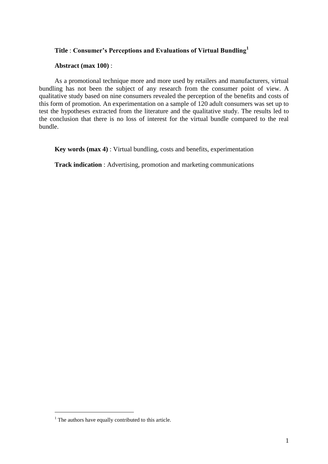#### **Title** : **Consumer's Perceptions and Evaluations of Virtual Bundling<sup>1</sup>**

#### **Abstract (max 100)** :

As a promotional technique more and more used by retailers and manufacturers, virtual bundling has not been the subject of any research from the consumer point of view. A qualitative study based on nine consumers revealed the perception of the benefits and costs of this form of promotion. An experimentation on a sample of 120 adult consumers was set up to test the hypotheses extracted from the literature and the qualitative study. The results led to the conclusion that there is no loss of interest for the virtual bundle compared to the real bundle.

**Key words (max 4)** : Virtual bundling, costs and benefits, experimentation

**Track indication** : Advertising, promotion and marketing communications

 $\overline{a}$ 

 $<sup>1</sup>$  The authors have equally contributed to this article.</sup>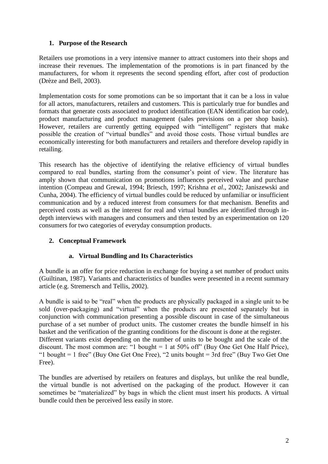#### **1. Purpose of the Research**

Retailers use promotions in a very intensive manner to attract customers into their shops and increase their revenues. The implementation of the promotions is in part financed by the manufacturers, for whom it represents the second spending effort, after cost of production (Drèze and Bell, 2003).

Implementation costs for some promotions can be so important that it can be a loss in value for all actors, manufacturers, retailers and customers. This is particularly true for bundles and formats that generate costs associated to product identification (EAN identification bar code), product manufacturing and product management (sales previsions on a per shop basis). However, retailers are currently getting equipped with "intelligent" registers that make possible the creation of "virtual bundles" and avoid those costs. Those virtual bundles are economically interesting for both manufacturers and retailers and therefore develop rapidly in retailing.

This research has the objective of identifying the relative efficiency of virtual bundles compared to real bundles, starting from the consumer's point of view. The literature has amply shown that communication on promotions influences perceived value and purchase intention (Compeau and Grewal, 1994; Briesch, 1997; Krishna *et al*., 2002; Janiszewski and Cunha, 2004). The efficiency of virtual bundles could be reduced by unfamiliar or insufficient communication and by a reduced interest from consumers for that mechanism. Benefits and perceived costs as well as the interest for real and virtual bundles are identified through indepth interviews with managers and consumers and then tested by an experimentation on 120 consumers for two categories of everyday consumption products.

#### **2. Conceptual Framework**

#### **a. Virtual Bundling and Its Characteristics**

A bundle is an offer for price reduction in exchange for buying a set number of product units (Guiltinan, 1987). Variants and characteristics of bundles were presented in a recent summary article (e.g. Stremersch and Tellis, 2002).

A bundle is said to be "real" when the products are physically packaged in a single unit to be sold (over-packaging) and "virtual" when the products are presented separately but in conjunction with communication presenting a possible discount in case of the simultaneous purchase of a set number of product units. The customer creates the bundle himself in his basket and the verification of the granting conditions for the discount is done at the register. Different variants exist depending on the number of units to be bought and the scale of the discount. The most common are: "1 bought  $= 1$  at 50% off" (Buy One Get One Half Price), "1 bought  $= 1$  free" (Buy One Get One Free), "2 units bought  $= 3$ rd free" (Buy Two Get One Free).

The bundles are advertised by retailers on features and displays, but unlike the real bundle, the virtual bundle is not advertised on the packaging of the product. However it can sometimes be "materialized" by bags in which the client must insert his products. A virtual bundle could then be perceived less easily in store.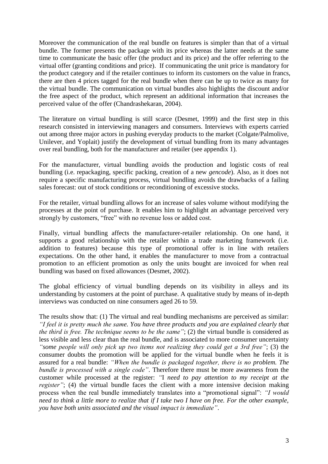Moreover the communication of the real bundle on features is simpler than that of a virtual bundle. The former presents the package with its price whereas the latter needs at the same time to communicate the basic offer (the product and its price) and the offer referring to the virtual offer (granting conditions and price). If communicating the unit price is mandatory for the product category and if the retailer continues to inform its customers on the value in francs, there are then 4 prices tagged for the real bundle when there can be up to twice as many for the virtual bundle. The communication on virtual bundles also highlights the discount and/or the free aspect of the product, which represent an additional information that increases the perceived value of the offer (Chandrashekaran, 2004).

The literature on virtual bundling is still scarce (Desmet, 1999) and the first step in this research consisted in interviewing managers and consumers. Interviews with experts carried out among three major actors in pushing everyday products to the market (Colgate/Palmolive, Unilever, and Yoplait) justify the development of virtual bundling from its many advantages over real bundling, both for the manufacturer and retailer (see appendix 1).

For the manufacturer, virtual bundling avoids the production and logistic costs of real bundling (i.e. repackaging, specific packing, creation of a new *gencode*). Also, as it does not require a specific manufacturing process, virtual bundling avoids the drawbacks of a failing sales forecast: out of stock conditions or reconditioning of excessive stocks.

For the retailer, virtual bundling allows for an increase of sales volume without modifying the processes at the point of purchase. It enables him to highlight an advantage perceived very strongly by customers, "free" with no revenue loss or added cost.

Finally, virtual bundling affects the manufacturer-retailer relationship. On one hand, it supports a good relationship with the retailer within a trade marketing framework (i.e. addition to features) because this type of promotional offer is in line with retailers expectations. On the other hand, it enables the manufacturer to move from a contractual promotion to an efficient promotion as only the units bought are invoiced for when real bundling was based on fixed allowances (Desmet, 2002).

The global efficiency of virtual bundling depends on its visibility in alleys and its understanding by customers at the point of purchase. A qualitative study by means of in-depth interviews was conducted on nine consumers aged 26 to 59.

The results show that: (1) The virtual and real bundling mechanisms are perceived as similar: *"I feel it is pretty much the same. You have three products and you are explained clearly that the third is free. The technique seems to be the same"*; (2) the virtual bundle is considered as less visible and less clear than the real bundle, and is associated to more consumer uncertainty *"some people will only pick up two items not realizing they could get a 3rd free"*; (3) the consumer doubts the promotion will be applied for the virtual bundle when he feels it is assured for a real bundle: *"When the bundle is packaged together, there is no problem. The bundle is processed with a single code"*. Therefore there must be more awareness from the customer while processed at the register: *"*I *need to pay attention to my receipt at the register*"; (4) the virtual bundle faces the client with a more intensive decision making process when the real bundle immediately translates into a "promotional signal": *"I would need to think a little more to realize that if I take two I have on free. For the other example, you have both units associated and the visual impact is immediate"*.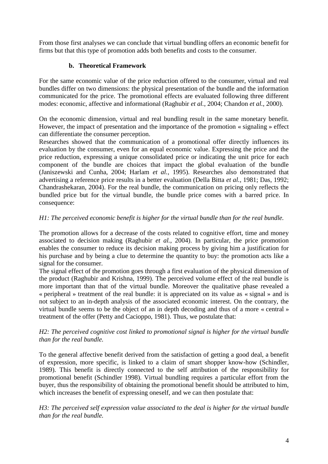From those first analyses we can conclude that virtual bundling offers an economic benefit for firms but that this type of promotion adds both benefits and costs to the consumer.

#### **b. Theoretical Framework**

For the same economic value of the price reduction offered to the consumer, virtual and real bundles differ on two dimensions: the physical presentation of the bundle and the information communicated for the price. The promotional effects are evaluated following three different modes: economic, affective and informational (Raghubir *et al.*, 2004; Chandon *et al.*, 2000).

On the economic dimension, virtual and real bundling result in the same monetary benefit. However, the impact of presentation and the importance of the promotion « signaling » effect can differentiate the consumer perception.

Researches showed that the communication of a promotional offer directly influences its evaluation by the consumer, even for an equal economic value. Expressing the price and the price reduction, expressing a unique consolidated price or indicating the unit price for each component of the bundle are choices that impact the global evaluation of the bundle (Janiszewski and Cunha, 2004; Harlam *et al.*, 1995). Researches also demonstrated that advertising a reference price results in a better evaluation (Della Bitta *et al.*, 1981; Das, 1992; Chandrashekaran, 2004). For the real bundle, the communication on pricing only reflects the bundled price but for the virtual bundle, the bundle price comes with a barred price. In consequence:

#### *H1: The perceived economic benefit is higher for the virtual bundle than for the real bundle.*

The promotion allows for a decrease of the costs related to cognitive effort, time and money associated to decision making (Raghubir *et al.*, 2004). In particular, the price promotion enables the consumer to reduce its decision making process by giving him a justification for his purchase and by being a clue to determine the quantity to buy: the promotion acts like a signal for the consumer.

The signal effect of the promotion goes through a first evaluation of the physical dimension of the product (Raghubir and Krishna, 1999). The perceived volume effect of the real bundle is more important than that of the virtual bundle. Moreover the qualitative phase revealed a « peripheral » treatment of the real bundle: it is appreciated on its value as « signal » and is not subject to an in-depth analysis of the associated economic interest. On the contrary, the virtual bundle seems to be the object of an in depth decoding and thus of a more « central » treatment of the offer (Petty and Cacioppo, 1981). Thus, we postulate that:

#### *H2: The perceived cognitive cost linked to promotional signal is higher for the virtual bundle than for the real bundle.*

To the general affective benefit derived from the satisfaction of getting a good deal, a benefit of expression, more specific, is linked to a claim of smart shopper know-how (Schindler, 1989). This benefit is directly connected to the self attribution of the responsibility for promotional benefit (Schindler 1998). Virtual bundling requires a particular effort from the buyer, thus the responsibility of obtaining the promotional benefit should be attributed to him, which increases the benefit of expressing oneself, and we can then postulate that:

*H3: The perceived self expression value associated to the deal is higher for the virtual bundle than for the real bundle.*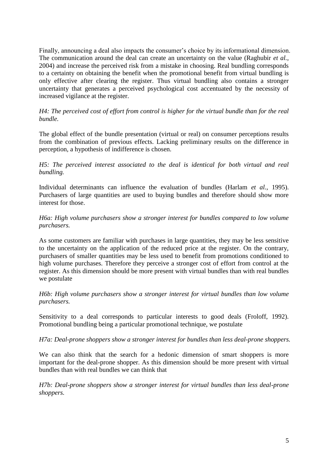Finally, announcing a deal also impacts the consumer's choice by its informational dimension. The communication around the deal can create an uncertainty on the value (Raghubir *et al.*, 2004) and increase the perceived risk from a mistake in choosing. Real bundling corresponds to a certainty on obtaining the benefit when the promotional benefit from virtual bundling is only effective after clearing the register. Thus virtual bundling also contains a stronger uncertainty that generates a perceived psychological cost accentuated by the necessity of increased vigilance at the register.

#### *H4: The perceived cost of effort from control is higher for the virtual bundle than for the real bundle.*

The global effect of the bundle presentation (virtual or real) on consumer perceptions results from the combination of previous effects. Lacking preliminary results on the difference in perception, a hypothesis of indifference is chosen.

*H5: The perceived interest associated to the deal is identical for both virtual and real bundling.*

Individual determinants can influence the evaluation of bundles (Harlam *et al.*, 1995). Purchasers of large quantities are used to buying bundles and therefore should show more interest for those.

#### *H6a: High volume purchasers show a stronger interest for bundles compared to low volume purchasers.*

As some customers are familiar with purchases in large quantities, they may be less sensitive to the uncertainty on the application of the reduced price at the register. On the contrary, purchasers of smaller quantities may be less used to benefit from promotions conditioned to high volume purchases. Therefore they perceive a stronger cost of effort from control at the register. As this dimension should be more present with virtual bundles than with real bundles we postulate

*H6b: High volume purchasers show a stronger interest for virtual bundles than low volume purchasers.*

Sensitivity to a deal corresponds to particular interests to good deals (Froloff, 1992). Promotional bundling being a particular promotional technique, we postulate

#### *H7a: Deal-prone shoppers show a stronger interest for bundles than less deal-prone shoppers.*

We can also think that the search for a hedonic dimension of smart shoppers is more important for the deal-prone shopper. As this dimension should be more present with virtual bundles than with real bundles we can think that

*H7b: Deal-prone shoppers show a stronger interest for virtual bundles than less deal-prone shoppers.*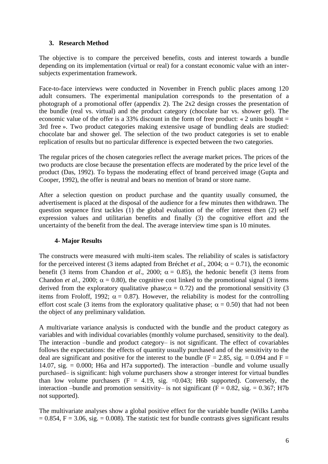#### **3. Research Method**

The objective is to compare the perceived benefits, costs and interest towards a bundle depending on its implementation (virtual or real) for a constant economic value with an intersubjects experimentation framework.

Face-to-face interviews were conducted in November in French public places among 120 adult consumers. The experimental manipulation corresponds to the presentation of a photograph of a promotional offer (appendix 2). The 2x2 design crosses the presentation of the bundle (real vs. virtual) and the product category (chocolate bar vs. shower gel). The economic value of the offer is a 33% discount in the form of free product: « 2 units bought  $=$ 3rd free ». Two product categories making extensive usage of bundling deals are studied: chocolate bar and shower gel. The selection of the two product categories is set to enable replication of results but no particular difference is expected between the two categories.

The regular prices of the chosen categories reflect the average market prices. The prices of the two products are close because the presentation effects are moderated by the price level of the product (Das, 1992). To bypass the moderating effect of brand perceived image (Gupta and Cooper, 1992), the offer is neutral and bears no mention of brand or store name.

After a selection question on product purchase and the quantity usually consumed, the advertisement is placed at the disposal of the audience for a few minutes then withdrawn. The question sequence first tackles (1) the global evaluation of the offer interest then (2) self expression values and utilitarian benefits and finally (3) the cognitive effort and the uncertainty of the benefit from the deal. The average interview time span is 10 minutes.

#### **4- Major Results**

The constructs were measured with multi-item scales. The reliability of scales is satisfactory for the perceived interest (3 items adapted from Bréchet *et al.*, 2004;  $\alpha = 0.71$ ), the economic benefit (3 items from Chandon *et al.*, 2000;  $\alpha = 0.85$ ), the hedonic benefit (3 items from Chandon *et al.*, 2000;  $\alpha = 0.80$ ), the cognitive cost linked to the promotional signal (3 items derived from the exploratory qualitative phase;  $\alpha = 0.72$ ) and the promotional sensitivity (3) items from Froloff, 1992;  $\alpha = 0.87$ ). However, the reliability is modest for the controlling effort cost scale (3 items from the exploratory qualitative phase;  $\alpha = 0.50$ ) that had not been the object of any preliminary validation.

A multivariate variance analysis is conducted with the bundle and the product category as variables and with individual covariables (monthly volume purchased, sensitivity to the deal). The interaction –bundle and product category– is not significant. The effect of covariables follows the expectations: the effects of quantity usually purchased and of the sensitivity to the deal are significant and positive for the interest to the bundle ( $F = 2.85$ , sig. = 0.094 and  $F =$ 14.07, sig. = 0.000; H6a and H7a supported). The interaction –bundle and volume usually purchased– is significant: high volume purchasers show a stronger interest for virtual bundles than low volume purchasers  $(F = 4.19, sig. = 0.043; H6b supported)$ . Conversely, the interaction –bundle and promotion sensitivity– is not significant ( $F = 0.82$ , sig. = 0.367; H7b not supported).

The multivariate analyses show a global positive effect for the variable bundle (Wilks Lamba  $= 0.854$ , F = 3.06, sig. = 0.008). The statistic test for bundle contrasts gives significant results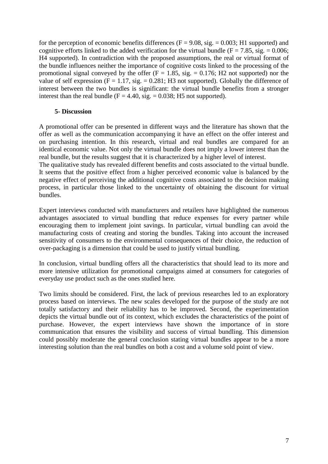for the perception of economic benefits differences ( $F = 9.08$ , sig.  $= 0.003$ ; H1 supported) and cognitive efforts linked to the added verification for the virtual bundle ( $F = 7.85$ , sig.  $= 0.006$ ; H4 supported). In contradiction with the proposed assumptions, the real or virtual format of the bundle influences neither the importance of cognitive costs linked to the processing of the promotional signal conveyed by the offer  $(F = 1.85, sig. = 0.176; H2$  not supported) nor the value of self expression  $(F = 1.17, sig = 0.281; H3$  not supported). Globally the difference of interest between the two bundles is significant: the virtual bundle benefits from a stronger interest than the real bundle  $(F = 4.40, sig. = 0.038; H5$  not supported).

#### **5- Discussion**

A promotional offer can be presented in different ways and the literature has shown that the offer as well as the communication accompanying it have an effect on the offer interest and on purchasing intention. In this research, virtual and real bundles are compared for an identical economic value. Not only the virtual bundle does not imply a lower interest than the real bundle, but the results suggest that it is characterized by a higher level of interest.

The qualitative study has revealed different benefits and costs associated to the virtual bundle. It seems that the positive effect from a higher perceived economic value is balanced by the negative effect of perceiving the additional cognitive costs associated to the decision making process, in particular those linked to the uncertainty of obtaining the discount for virtual bundles.

Expert interviews conducted with manufacturers and retailers have highlighted the numerous advantages associated to virtual bundling that reduce expenses for every partner while encouraging them to implement joint savings. In particular, virtual bundling can avoid the manufacturing costs of creating and storing the bundles. Taking into account the increased sensitivity of consumers to the environmental consequences of their choice, the reduction of over-packaging is a dimension that could be used to justify virtual bundling.

In conclusion, virtual bundling offers all the characteristics that should lead to its more and more intensive utilization for promotional campaigns aimed at consumers for categories of everyday use product such as the ones studied here.

Two limits should be considered. First, the lack of previous researches led to an exploratory process based on interviews. The new scales developed for the purpose of the study are not totally satisfactory and their reliability has to be improved. Second, the experimentation depicts the virtual bundle out of its context, which excludes the characteristics of the point of purchase. However, the expert interviews have shown the importance of in store communication that ensures the visibility and success of virtual bundling. This dimension could possibly moderate the general conclusion stating virtual bundles appear to be a more interesting solution than the real bundles on both a cost and a volume sold point of view.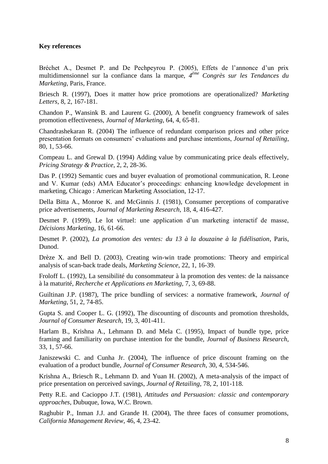#### **Key references**

Bréchet A., Desmet P. and De Pechpeyrou P. (2005), Effets de l'annonce d'un prix multidimensionnel sur la confiance dans la marque, *4 ème Congrès sur les Tendances du Marketing*, Paris, France.

Briesch R. (1997), Does it matter how price promotions are operationalized? *Marketing Letters*, 8, 2, 167-181.

Chandon P., Wansink B. and Laurent G. (2000), A benefit congruency framework of sales promotion effectiveness, *Journal of Marketing*, 64, 4, 65-81.

Chandrashekaran R. (2004) The influence of redundant comparison prices and other price presentation formats on consumers' evaluations and purchase intentions, *Journal of Retailing*, 80, 1, 53-66.

Compeau L. and Grewal D. (1994) Adding value by communicating price deals effectively, *Pricing Strategy & Practice*, 2, 2, 28-36.

Das P. (1992) Semantic cues and buyer evaluation of promotional communication, R. Leone and V. Kumar (eds) AMA Educator's proceedings: enhancing knowledge development in marketing, Chicago : American Marketing Association, 12-17.

Della Bitta A., Monroe K. and McGinnis J. (1981), Consumer perceptions of comparative price advertisements, *Journal of Marketing Research*, 18, 4, 416-427.

Desmet P. (1999), Le lot virtuel: une application d'un marketing interactif de masse, *Décisions Marketing*, 16, 61-66.

Desmet P. (2002), *La promotion des ventes: du 13 à la douzaine à la fidélisation*, Paris, Dunod.

Drèze X. and Bell D. (2003), Creating win-win trade promotions: Theory and empirical analysis of scan-back trade deals, *Marketing Science*, 22, 1, 16-39.

Froloff L. (1992), La sensibilité du consommateur à la promotion des ventes: de la naissance à la maturité, *Recherche et Applications en Marketing*, 7, 3, 69-88.

Guiltinan J.P. (1987), The price bundling of services: a normative framework, *Journal of Marketing*, 51, 2, 74-85.

Gupta S. and Cooper L. G. (1992), The discounting of discounts and promotion thresholds, *Journal of Consumer Research*, 19, 3, 401-411.

Harlam B., Krishna A., Lehmann D. and Mela C. (1995), Impact of bundle type, price framing and familiarity on purchase intention for the bundle, *Journal of Business Research*, 33, 1, 57-66.

Janiszewski C. and Cunha Jr. (2004), The influence of price discount framing on the evaluation of a product bundle, *Journal of Consumer Research*, 30, 4, 534-546.

Krishna A., Briesch R., Lehmann D. and Yuan H. (2002), A meta-analysis of the impact of price presentation on perceived savings, *Journal of Retailing*, 78, 2, 101-118.

Petty R.E. and Cacioppo J.T. (1981), *Attitudes and Persuasion: classic and contemporary approaches*, Dubuque, Iowa, W.C. Brown.

Raghubir P., Inman J.J. and Grande H. (2004), The three faces of consumer promotions, *California Management Review*, 46, 4, 23-42.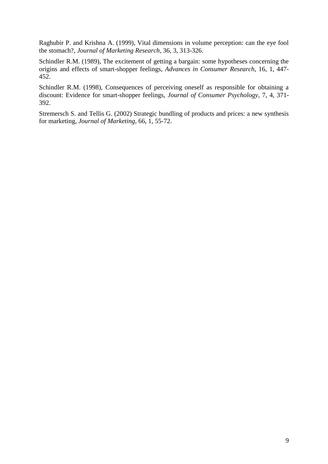Raghubir P. and Krishna A. (1999), Vital dimensions in volume perception: can the eye fool the stomach?, *Journal of Marketing Research*, 36, 3, 313-326.

Schindler R.M. (1989), The excitement of getting a bargain: some hypotheses concerning the origins and effects of smart-shopper feelings, *Advances in Consumer Research*, 16, 1, 447- 452.

Schindler R.M. (1998), Consequences of perceiving oneself as responsible for obtaining a discount: Evidence for smart-shopper feelings, *Journal of Consumer Psychology*, 7, 4, 371- 392.

Stremersch S. and Tellis G. (2002) Strategic bundling of products and prices: a new synthesis for marketing, *Journal of Marketing*, 66, 1, 55-72.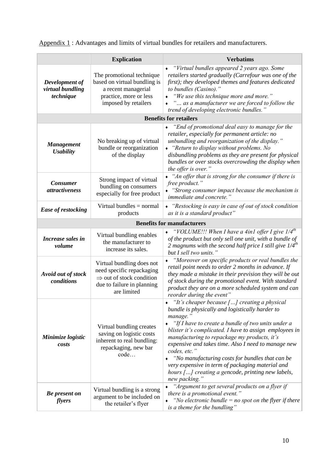Appendix 1: Advantages and limits of virtual bundles for retailers and manufacturers.

|                                                 | <b>Explication</b>                                                                                                                          | <b>Verbatims</b>                                                                                                                                                                                                                                                                                                                                                                                                                                                                                                                   |  |
|-------------------------------------------------|---------------------------------------------------------------------------------------------------------------------------------------------|------------------------------------------------------------------------------------------------------------------------------------------------------------------------------------------------------------------------------------------------------------------------------------------------------------------------------------------------------------------------------------------------------------------------------------------------------------------------------------------------------------------------------------|--|
| Development of<br>virtual bundling<br>technique | The promotional technique<br>based on virtual bundling is<br>a recent managerial<br>practice, more or less<br>imposed by retailers          | "Virtual bundles appeared 2 years ago. Some<br>retailers started gradually (Carrefour was one of the<br>first); they developed themes and features dedicated<br>to bundles (Casino)."<br>"We use this technique more and more."<br>" as a manufacturer we are forced to follow the<br>trend of developing electronic bundles."                                                                                                                                                                                                     |  |
| <b>Benefits for retailers</b>                   |                                                                                                                                             |                                                                                                                                                                                                                                                                                                                                                                                                                                                                                                                                    |  |
| <b>Management</b><br><b>Usability</b>           | No breaking up of virtual<br>bundle or reorganization<br>of the display                                                                     | "End of promotional deal easy to manage for the<br>retailer, especially for permanent article: no<br>unbundling and reorganization of the display."<br>• "Return to display without problems. No<br>disbundling problems as they are present for physical<br>bundles or over stocks overcrowding the display when<br>the offer is over."                                                                                                                                                                                           |  |
| <b>Consumer</b><br><i>attractiveness</i>        | Strong impact of virtual<br>bundling on consumers<br>especially for free product                                                            | "An offer that is strong for the consumer if there is<br>free product."<br>"Strong consumer impact because the mechanism is<br><i>immediate and concrete.'</i>                                                                                                                                                                                                                                                                                                                                                                     |  |
| <b>Ease of restocking</b>                       | Virtual bundles $=$ normal<br>products                                                                                                      | • "Restocking is easy in case of out of stock condition<br>as it is a standard product"                                                                                                                                                                                                                                                                                                                                                                                                                                            |  |
| <b>Benefits for manufacturers</b>               |                                                                                                                                             |                                                                                                                                                                                                                                                                                                                                                                                                                                                                                                                                    |  |
| Increase sales in<br>volume                     | Virtual bundling enables<br>the manufacturer to<br>increase its sales.                                                                      | "VOLUME!!! When I have a 4in1 offer I give $1/4th$<br>of the product but only sell one unit, with a bundle of<br>2 magnums with the second half price I still give $1/4^{th}$<br>but I sell two units."                                                                                                                                                                                                                                                                                                                            |  |
| Avoid out of stock<br>conditions                | Virtual bundling does not<br>need specific repackaging<br>$\Rightarrow$ out of stock condition<br>due to failure in planning<br>are limited | "Moreover on specific products or real bundles the<br>retail point needs to order 2 months in advance. If<br>they made a mistake in their prevision they will be out<br>of stock during the promotional event. With standard<br>product they are on a more scheduled system and can<br>reorder during the event"                                                                                                                                                                                                                   |  |
| Minimize logistic<br>costs                      | Virtual bundling creates<br>saving on logistic costs<br>inherent to real bundling:<br>repackaging, new bar<br>code                          | "It's cheaper because $[]$ creating a physical<br>bundle is physically and logistically harder to<br>manage."<br>"If I have to create a bundle of two units under a<br>blister it's complicated. I have to assign employees in<br>manufacturing to repackage my products, it's<br>expensive and takes time. Also I need to manage new<br>codes, etc."<br>"No manufacturing costs for bundles that can be<br>very expensive in term of packaging material and<br>hours [] creating a gencode, printing new labels,<br>new packing." |  |
| <b>Be</b> present on<br>flyers                  | Virtual bundling is a strong<br>argument to be included on<br>the retailer's flyer                                                          | "Argument to get several products on a flyer if<br>there is a promotional event."<br>"No electronic bundle $=$ no spot on the flyer if there<br>is a theme for the bundling"                                                                                                                                                                                                                                                                                                                                                       |  |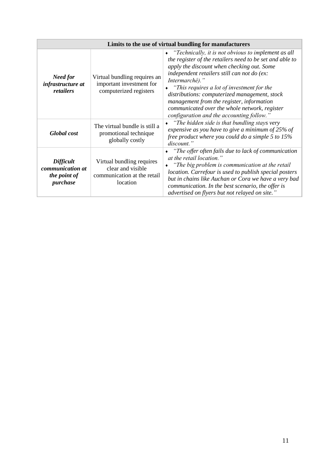| Limits to the use of virtual bundling for manufacturers          |                                                                                           |                                                                                                                                                                                                                                                                                                                                                                                                                                                                                                 |
|------------------------------------------------------------------|-------------------------------------------------------------------------------------------|-------------------------------------------------------------------------------------------------------------------------------------------------------------------------------------------------------------------------------------------------------------------------------------------------------------------------------------------------------------------------------------------------------------------------------------------------------------------------------------------------|
| Need for<br>infrastructure at<br>retailers                       | Virtual bundling requires an<br>important investment for<br>computerized registers        | $\bullet$ "Technically, it is not obvious to implement as all<br>the register of the retailers need to be set and able to<br>apply the discount when checking out. Some<br>independent retailers still can not do (ex:<br>Intermarché)."<br>"This requires a lot of investment for the<br>$\bullet$<br>distributions: computerized management, stock<br>management from the register, information<br>communicated over the whole network, register<br>configuration and the accounting follow." |
| Global cost                                                      | The virtual bundle is still a<br>promotional technique<br>globally costly                 | "The hidden side is that bundling stays very"<br>expensive as you have to give a minimum of $25\%$ of<br>free product where you could do a simple $5$ to $15\%$<br>discount."                                                                                                                                                                                                                                                                                                                   |
| <b>Difficult</b><br>communication at<br>the point of<br>purchase | Virtual bundling requires<br>clear and visible<br>communication at the retail<br>location | "The offer often fails due to lack of communication"<br>at the retail location."<br>"The big problem is communication at the retail"<br>location. Carrefour is used to publish special posters<br>but in chains like Auchan or Cora we have a very bad<br>communication. In the best scenario, the offer is<br>advertised on flyers but not relayed on site."                                                                                                                                   |